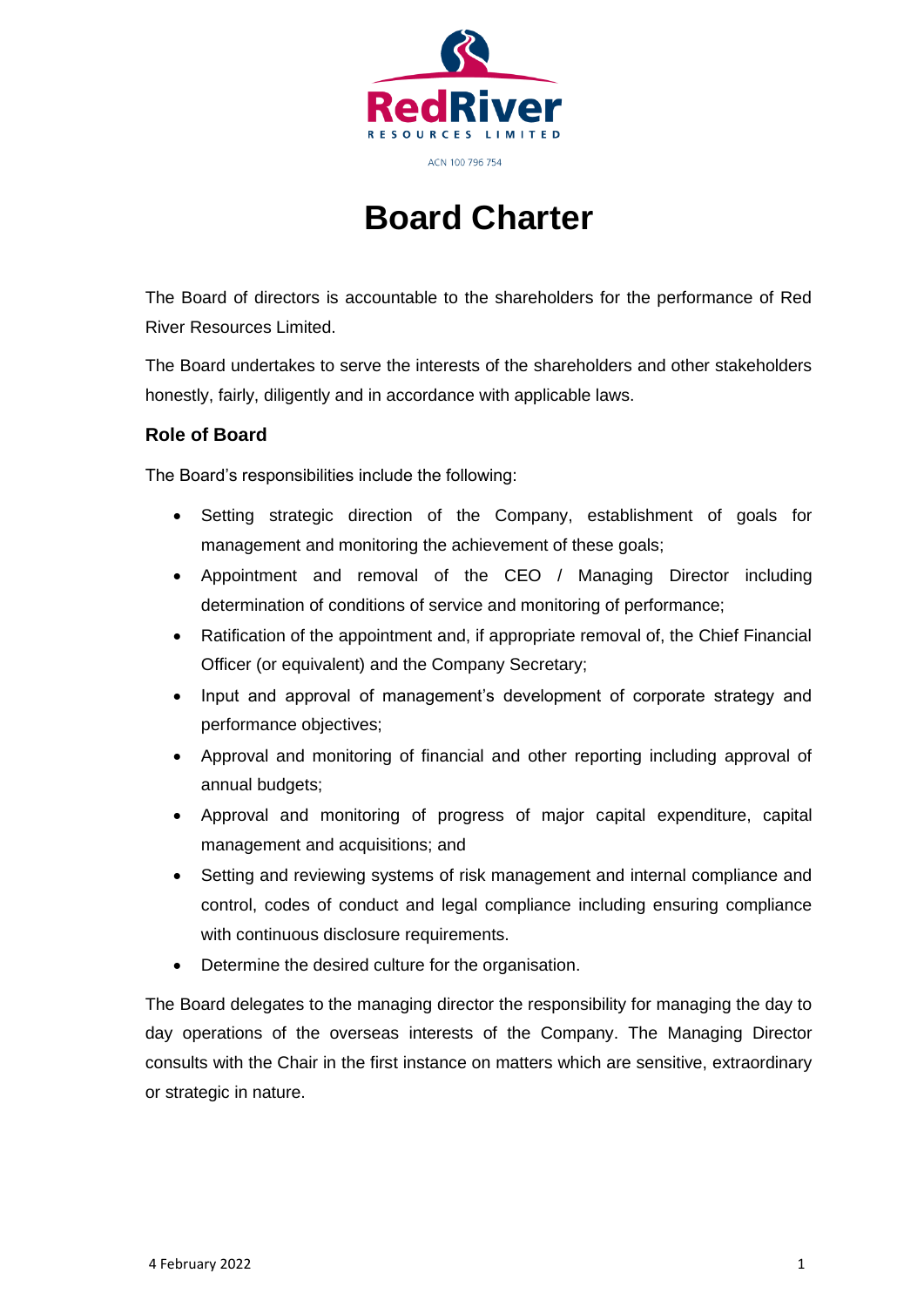

# **Board Charter**

The Board of directors is accountable to the shareholders for the performance of Red River Resources Limited.

The Board undertakes to serve the interests of the shareholders and other stakeholders honestly, fairly, diligently and in accordance with applicable laws.

#### **Role of Board**

The Board's responsibilities include the following:

- Setting strategic direction of the Company, establishment of goals for management and monitoring the achievement of these goals;
- Appointment and removal of the CEO / Managing Director including determination of conditions of service and monitoring of performance;
- Ratification of the appointment and, if appropriate removal of, the Chief Financial Officer (or equivalent) and the Company Secretary;
- Input and approval of management's development of corporate strategy and performance objectives;
- Approval and monitoring of financial and other reporting including approval of annual budgets;
- Approval and monitoring of progress of major capital expenditure, capital management and acquisitions; and
- Setting and reviewing systems of risk management and internal compliance and control, codes of conduct and legal compliance including ensuring compliance with continuous disclosure requirements.
- Determine the desired culture for the organisation.

The Board delegates to the managing director the responsibility for managing the day to day operations of the overseas interests of the Company. The Managing Director consults with the Chair in the first instance on matters which are sensitive, extraordinary or strategic in nature.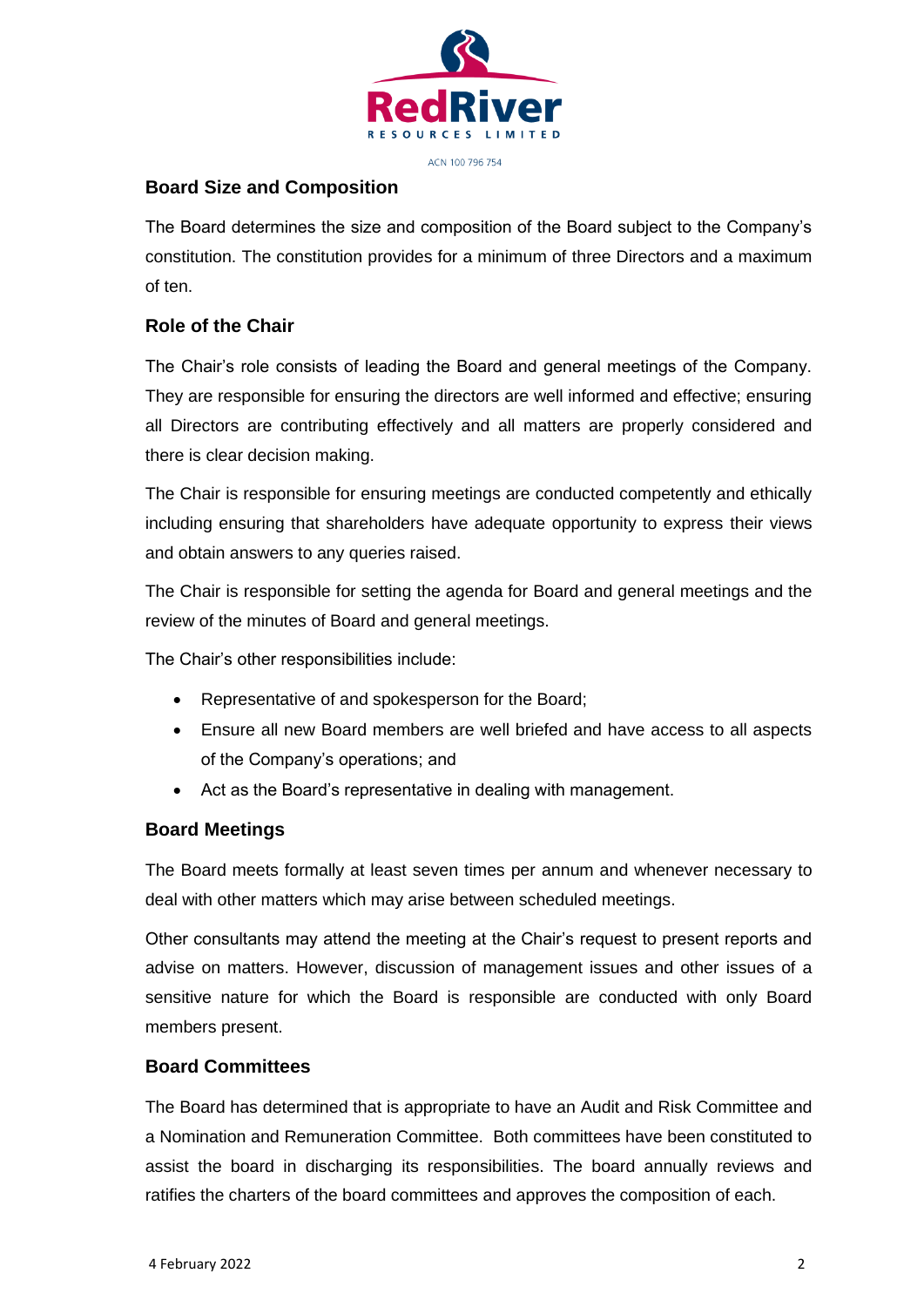

ACN 100 796 754

# **Board Size and Composition**

The Board determines the size and composition of the Board subject to the Company's constitution. The constitution provides for a minimum of three Directors and a maximum of ten.

# **Role of the Chair**

The Chair's role consists of leading the Board and general meetings of the Company. They are responsible for ensuring the directors are well informed and effective; ensuring all Directors are contributing effectively and all matters are properly considered and there is clear decision making.

The Chair is responsible for ensuring meetings are conducted competently and ethically including ensuring that shareholders have adequate opportunity to express their views and obtain answers to any queries raised.

The Chair is responsible for setting the agenda for Board and general meetings and the review of the minutes of Board and general meetings.

The Chair's other responsibilities include:

- Representative of and spokesperson for the Board;
- Ensure all new Board members are well briefed and have access to all aspects of the Company's operations; and
- Act as the Board's representative in dealing with management.

# **Board Meetings**

The Board meets formally at least seven times per annum and whenever necessary to deal with other matters which may arise between scheduled meetings.

Other consultants may attend the meeting at the Chair's request to present reports and advise on matters. However, discussion of management issues and other issues of a sensitive nature for which the Board is responsible are conducted with only Board members present.

# **Board Committees**

The Board has determined that is appropriate to have an Audit and Risk Committee and a Nomination and Remuneration Committee. Both committees have been constituted to assist the board in discharging its responsibilities. The board annually reviews and ratifies the charters of the board committees and approves the composition of each.